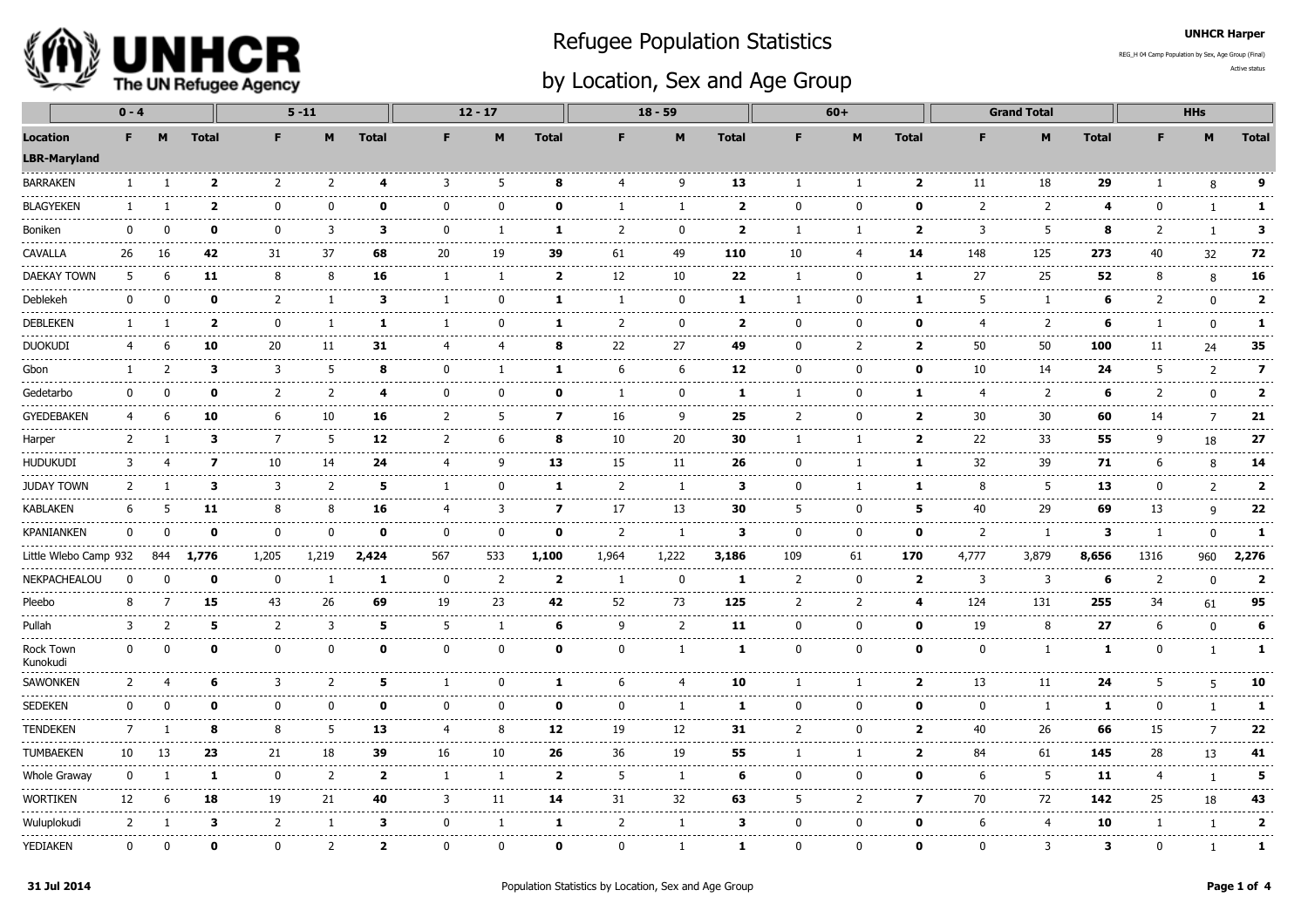

## Refugee Population Statistics

REG\_H 04 Camp Population by Sex, Age Group (Final)

## by Location, Sex and Age Group

Active status

UNHCR Harper

|                                        | $0 - 4$        |               |                         |                           | $5 - 11$                    |                         |                | $12 - 17$                                                                                                                                                                                                                                                                                                                                                                                          |                                   |                | $18 - 59$         |                       | $60+$          |                                |                              |                         | <b>Grand Total</b>          |                   | <b>HHs</b>     |                     |                               |
|----------------------------------------|----------------|---------------|-------------------------|---------------------------|-----------------------------|-------------------------|----------------|----------------------------------------------------------------------------------------------------------------------------------------------------------------------------------------------------------------------------------------------------------------------------------------------------------------------------------------------------------------------------------------------------|-----------------------------------|----------------|-------------------|-----------------------|----------------|--------------------------------|------------------------------|-------------------------|-----------------------------|-------------------|----------------|---------------------|-------------------------------|
| <b>Location</b><br><b>LBR-Maryland</b> | F.             | M             | <b>Total</b>            | F.                        | M                           | <b>Total</b>            | F.             | M                                                                                                                                                                                                                                                                                                                                                                                                  | <b>Total</b>                      | F.             | M                 | <b>Total</b>          | F              | M                              | <b>Total</b>                 | F.                      | M                           | <b>Total</b>      | F              | M                   | <b>Total</b>                  |
| <b>BARRAKEN</b>                        | $\mathbf{1}$   | -1            | $\mathbf{2}$            | 2                         | 2                           | 4                       | 3              | 5                                                                                                                                                                                                                                                                                                                                                                                                  | 8                                 | $\overline{4}$ | 9                 | 13                    | $\overline{1}$ | $\overline{1}$                 | $\overline{2}$               | 11                      | 18                          | 29                | $\mathbf{1}$   | 8                   | 9                             |
| <b>BLAGYEKEN</b>                       |                |               | $\overline{\mathbf{2}}$ | $\Omega$                  | 0                           | $\Omega$                | $\mathbf{0}$   | $\mathbf{0}$                                                                                                                                                                                                                                                                                                                                                                                       | 0                                 |                | 1                 | $\overline{2}$        | $\mathbf{0}$   | 0                              | $\Omega$                     | 2                       | $- - - -$<br>$\overline{2}$ | 4                 | $\mathbf{0}$   | $\mathbf{1}$        | $\mathbf{1}$                  |
| Boniken                                | 0              |               | 0                       | 0                         | .<br>3                      | 3                       | $\Omega$       | -1                                                                                                                                                                                                                                                                                                                                                                                                 | -----<br>1                        | 2              | $\Omega$          | -----<br>$\mathbf{2}$ | 1              | -1                             | .<br>$\overline{\mathbf{2}}$ | -----<br>3              | -----------<br>5            | 8                 | 2              |                     | --------------<br>3           |
| CAVALLA                                | 26             | 16            | 42                      | 31                        | 37                          | 68                      | 20             | 19                                                                                                                                                                                                                                                                                                                                                                                                 | 39                                | 61             | 49                | 110                   | 10             | 4                              | 14                           | 148                     | 125                         | 273               | 40             | 32                  | 72<br>$\frac{1}{2}$           |
| DAEKAY TOWN                            | 5              | -6            | 11                      | 8                         | 8                           | 16                      | -1             | -1                                                                                                                                                                                                                                                                                                                                                                                                 | $\overline{\mathbf{2}}$           | 12             | 10                | 22                    | 1              | 0                              | 1                            | 27                      | 25                          | 52                | 8              | 8                   | 16<br>------                  |
| Deblekeh                               | $\Omega$       | ŋ             | $\Omega$                | 2                         | 1                           | 3                       | 1              | $\mathbf 0$                                                                                                                                                                                                                                                                                                                                                                                        | 1                                 | п.             | $\Omega$          | 1                     | $\mathbf{1}$   | 0                              | 1                            | -5                      | $\mathbf{1}$                | -6                | 2              | $\mathbf 0$         | $\overline{\mathbf{2}}$<br>.  |
| <b>DEBLEKEN</b>                        | -1             |               | $\overline{\mathbf{2}}$ | $\mathbf{0}$              | $\mathbf{1}$                | -1                      |                | $\Omega$                                                                                                                                                                                                                                                                                                                                                                                           | 1                                 | 2              | n                 | $\mathbf{2}$          | $\Omega$       | $\mathbf{0}$                   | O                            | 4                       | 2                           | 6                 |                | $\mathbf{0}$        | 1                             |
| <b>DUOKUDI</b>                         | 4              | 6             | 10                      | 20                        | 11                          | 31                      | 4              | 4                                                                                                                                                                                                                                                                                                                                                                                                  | 8                                 | 22             | 27                | 49                    | $\Omega$       | $\overline{2}$                 | $\overline{\mathbf{2}}$      | 50                      | 50                          | 100               | 11             | 24                  | 35                            |
| Gbon                                   | -1             |               | 3                       | 3                         | 5                           | 8                       | $\mathbf{0}$   | 1                                                                                                                                                                                                                                                                                                                                                                                                  | 1                                 | 6              | 6                 | 12                    | $\mathbf{0}$   | 0                              | 0                            | 10                      | 14                          | 24                | 5              | $\overline{2}$      | $\overline{\mathbf{z}}$       |
| Gedetarbo                              | 0              |               | $\mathbf{0}$            | 2                         | $\overline{2}$              | $\overline{\mathbf{4}}$ | $\mathbf{0}$   | $\Omega$                                                                                                                                                                                                                                                                                                                                                                                           | 0                                 |                | $\Omega$          | 1                     | -1             | $\mathbf{0}$                   | 1                            | $\overline{4}$<br>----- | 2                           | 6                 | $\overline{2}$ | 0                   | $\mathbf{2}$<br>$- - - - -$   |
| <b>GYEDEBAKEN</b>                      | 4              | 6             | 10                      | 6<br>.                    | 10<br>.                     | 16<br>.                 | $\overline{2}$ | 5                                                                                                                                                                                                                                                                                                                                                                                                  | $\overline{\mathbf{z}}$<br>------ | 16<br>-----    | 9<br>.            | 25<br>.               | 2              | 0<br>.                         | $\overline{2}$<br>------     | 30<br>------            | 30<br>.                     | 60<br>-------     | 14             | $\overline{7}$<br>. | 21<br>-------                 |
| Harper                                 | 2              |               | 3                       | 7                         | 5                           | 12                      | 2              | 6                                                                                                                                                                                                                                                                                                                                                                                                  | 8                                 | 10             | 20                | 30                    | $\mathbf{1}$   | $\mathbf{1}$                   | $\overline{2}$               | 22<br>.                 | 33                          | 55                | 9              | 18                  | 27<br>-----                   |
| <b>HUDUKUDI</b>                        | 3              |               | 7                       | 10                        | 14                          | 24                      | 4              | 9                                                                                                                                                                                                                                                                                                                                                                                                  | 13                                | 15             | 11                | 26                    | $\mathbf{0}$   | 1                              | -1                           | 32                      | 39                          | 71                | 6              | 8                   | 14                            |
| <b>JUDAY TOWN</b>                      | 2              |               | 3                       | 3                         | 2                           | 5                       | 1              | $\mathbf 0$                                                                                                                                                                                                                                                                                                                                                                                        | 1                                 | 2              | -1                | 3                     | 0              | 1                              | 1                            | 8                       | 5                           | 13                | $\mathbf{0}$   | $\overline{2}$      | $\overline{2}$<br>$- - - -$   |
| <b>KABLAKEN</b>                        | 6              | 5             | 11                      | 8                         | 8                           | 16                      | 4              | 3                                                                                                                                                                                                                                                                                                                                                                                                  | $\overline{\mathbf{z}}$           | 17             | 13                | 30                    | 5              | $\mathbf 0$                    | 5                            | 40                      | 29                          | 69                | 13             | 9                   | 22                            |
| <b>KPANIANKEN</b>                      | $\Omega$       | n             | 0                       | $\mathbf{0}$<br>--------- | $\mathbf{0}$                | $\mathbf{0}$            | $\Omega$       | <sup>0</sup>                                                                                                                                                                                                                                                                                                                                                                                       | 0                                 | 2<br>-------   | $\mathbf{1}$<br>. | 3                     | $\mathbf{0}$   | 0                              | 0                            | 2<br>.                  | $\mathbf{1}$<br>---------   | 3                 | 1              | $\Omega$            | 1                             |
| Little Wlebo Camp 932                  |                | 844           | 1,776                   | 1,205                     | 1,219                       | 2,424                   | 567            | 533                                                                                                                                                                                                                                                                                                                                                                                                | 1,100                             | 1,964          | 1,222             | 3,186                 | 109            | 61                             | 170                          | 4,777                   | 3,879                       | 8,656             | 1316           | 960                 | 2,276                         |
| <b>NEKPACHEALOU</b>                    | 0              | $\Omega$      | $\mathbf{0}$            | $\mathbf 0$               | 1                           | 1                       | $\mathbf 0$    | $\overline{2}$                                                                                                                                                                                                                                                                                                                                                                                     | $\overline{\mathbf{2}}$           | $\mathbf{1}$   | $\mathbf{0}$      | 1                     | $\overline{2}$ | 0                              | $\overline{\mathbf{2}}$      | 3                       | 3                           | 6                 | 2              | $\mathbf{0}$        | $\overline{2}$<br>$- - - - -$ |
| Pleebo                                 | 8              | 7             | 15                      | 43<br>-----               | 26<br>.                     | 69                      | 19<br>-----    | 23<br>$\frac{1}{2} \frac{1}{2} \frac{1}{2} \frac{1}{2} \frac{1}{2} \frac{1}{2} \frac{1}{2} \frac{1}{2} \frac{1}{2} \frac{1}{2} \frac{1}{2} \frac{1}{2} \frac{1}{2} \frac{1}{2} \frac{1}{2} \frac{1}{2} \frac{1}{2} \frac{1}{2} \frac{1}{2} \frac{1}{2} \frac{1}{2} \frac{1}{2} \frac{1}{2} \frac{1}{2} \frac{1}{2} \frac{1}{2} \frac{1}{2} \frac{1}{2} \frac{1}{2} \frac{1}{2} \frac{1}{2} \frac{$ | 42                                | 52             | 73<br>-----       | 125                   | $\overline{2}$ | $\overline{2}$                 | 4                            | 124                     | 131                         | 255<br>-----      | 34             | 61<br>-----         | 95<br>$- - - - - - -$         |
| Pullah                                 | 3              | $\mathcal{P}$ | 5                       | 2<br>.                    | 3<br>----------             | 5                       | 5              | -1                                                                                                                                                                                                                                                                                                                                                                                                 | 6<br>.                            | 9              | 2                 | 11                    | $\Omega$       | $\mathbf{0}$<br>-------------- | 0                            | 19<br>.                 | 8<br>--------------         | 27<br>----------- | 6              | $\mathbf 0$         | 6                             |
| Rock Town<br>Kunokudi                  | $\mathbf{0}$   |               | O                       | $\mathbf{0}$              | 0                           | O                       | ŋ              | $\Omega$                                                                                                                                                                                                                                                                                                                                                                                           | 0                                 | <sup>0</sup>   |                   | 1                     | $\mathbf{0}$   | 0                              | 0                            | $\Omega$                | $\mathbf{1}$                | -1                | ŋ              |                     | 1                             |
| <b>SAWONKEN</b>                        | 2              | 4             | 6                       | 3                         | 2                           | 5                       |                | n                                                                                                                                                                                                                                                                                                                                                                                                  | 1                                 | 6              | 4                 | 10                    |                | -1                             | $\overline{\mathbf{2}}$      | 13                      | 11                          | 24                | 5              | 5                   | 10                            |
| <b>SEDEKEN</b>                         | 0              |               | 0                       | $\mathbf{0}$              | 0                           | $\mathbf{0}$            | $\Omega$       | $\Omega$                                                                                                                                                                                                                                                                                                                                                                                           | 0                                 | $\Omega$       | -1                | 1                     | $\mathbf{0}$   | 0                              | 0                            | 0                       | 1                           | 1                 | $\mathbf{0}$   | $\mathbf{1}$        | 1                             |
| <b>TENDEKEN</b>                        | 7              |               | 8                       | 8<br>$- - - -$            | 5<br>-----                  | 13                      | 4<br>.         | 8<br>--------                                                                                                                                                                                                                                                                                                                                                                                      | 12                                | 19             | 12<br>-----       | 31                    | $\overline{2}$ | 0                              | $\overline{\mathbf{2}}$      | 40<br>----              | 26                          | 66                | 15             | 7                   | 22<br>.                       |
| <b>TUMBAEKEN</b><br>.                  | 10             | 13            | 23                      | 21                        | 18<br>.                     | 39                      | 16             | 10                                                                                                                                                                                                                                                                                                                                                                                                 | 26                                | 36             | 19                | 55                    |                | 1                              | $\overline{2}$               | 84                      | 61<br>------                | 145<br>.          | 28             | 13                  | 41<br>.                       |
| Whole Graway                           | 0              |               | 1                       | $\mathbf 0$               | $\overline{2}$<br>$- - - -$ | $\overline{\mathbf{2}}$ | 1              | $\mathbf{1}$                                                                                                                                                                                                                                                                                                                                                                                       | $\overline{\mathbf{2}}$           | -5             | $\overline{1}$    | 6                     | 0              | 0                              | 0                            | 6                       | 5                           | 11                | 4              | $\mathbf{1}$        | 5                             |
| Wortiken                               | 12             | 6             | 18                      | 19                        | 21                          | 40                      | 3              | 11                                                                                                                                                                                                                                                                                                                                                                                                 | 14                                | 31             | 32                | 63                    | -5             | 2                              | 7                            | 70                      | 72                          | 142               | 25             | 18                  | 43                            |
| Wuluplokudi                            | $\overline{2}$ | -1            | 3                       | $\overline{2}$            | 1                           | 3                       | 0              | -1                                                                                                                                                                                                                                                                                                                                                                                                 | 1                                 | 2              | -1                | 3                     | $\Omega$       | 0                              | $\mathbf{0}$                 | 6                       | $\overline{4}$              | 10                | 1              | 1                   | $\mathbf{2}$                  |
| <b>YEDIAKEN</b>                        | $\Omega$       | $\Omega$      | 0                       | $\Omega$                  | 2                           | 2                       | $\Omega$       | $\Omega$                                                                                                                                                                                                                                                                                                                                                                                           | 0                                 | <sup>0</sup>   | -1                | 1                     | $\Omega$       | 0                              | 0                            | $\Omega$                | 3                           | 3                 | O              |                     | 1                             |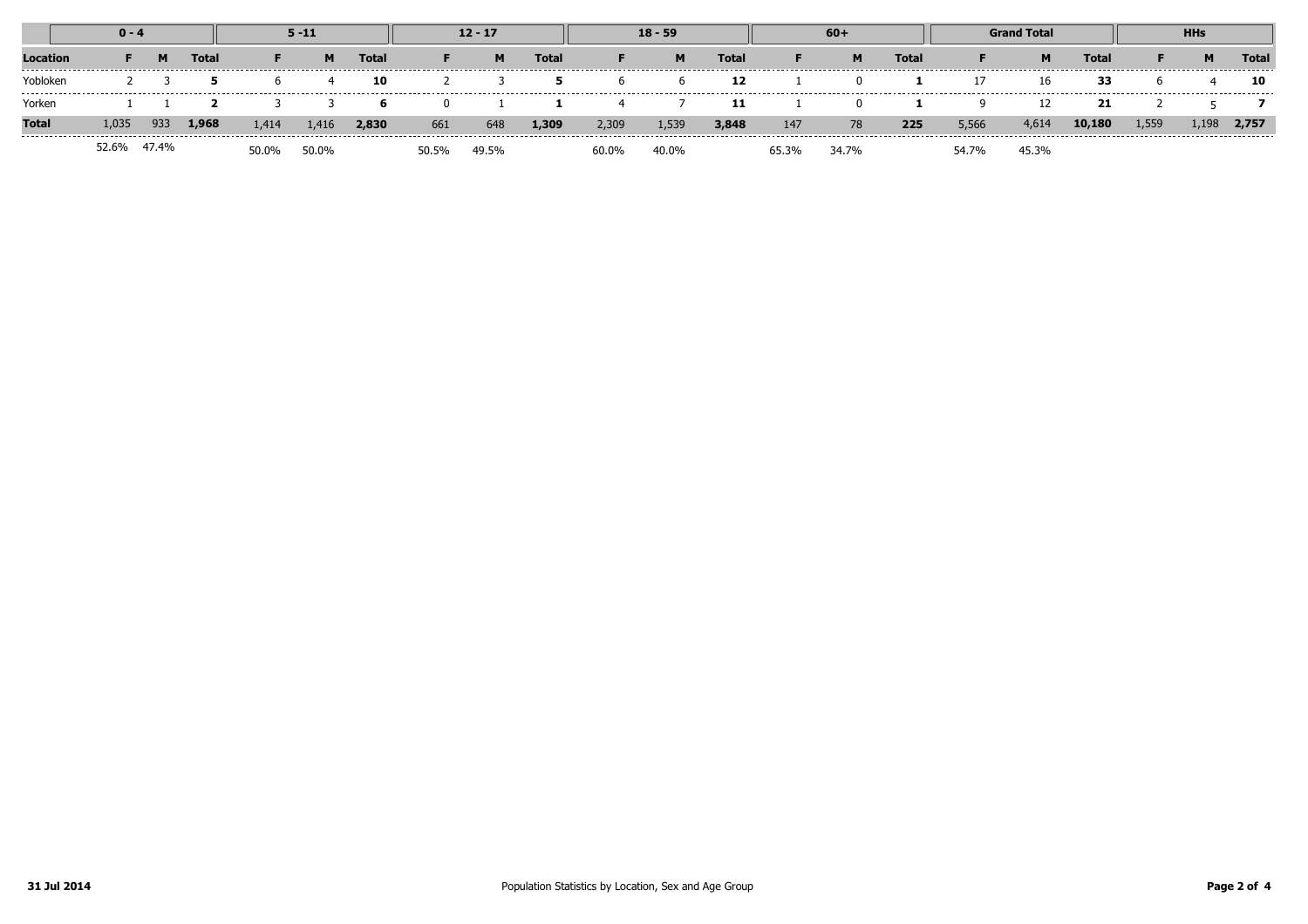|              | $0 - 4$ |       |       | $5 - 11$ |       |              | $12 - 17$ |       |       | $18 - 59$ |       |       | $60+$ |       |       | <b>Grand Total</b> |       |        | <b>HHs</b> |       |       |
|--------------|---------|-------|-------|----------|-------|--------------|-----------|-------|-------|-----------|-------|-------|-------|-------|-------|--------------------|-------|--------|------------|-------|-------|
| Location     |         |       | Total |          | м     | <b>Total</b> |           |       | Total |           | M     | Total |       |       | Total |                    | M     | Total  |            | м     | Total |
| Yobloker     |         |       |       |          |       | 10           |           |       |       |           |       | 12    |       |       |       |                    |       | 33     |            |       | 10    |
| Yorken       |         |       |       |          |       | ь.           |           |       |       |           |       | 11    |       |       |       |                    |       |        |            |       |       |
| <b>Total</b> | 1,035   | 933   | 1,968 | 1,414    | 1,416 | 2,830        | 661       | 648   | 1,309 | 2,309     | 1,539 | 3,848 | 147   | 78    | 225   | 5,566              | 4,614 | 10,180 | 1,559      | 1,198 | 2,757 |
|              | -2.6%   | 47.4% |       | 50.0%    | 50.0% |              | 50.5%     | 49.5% |       | 60.0%     | 40.0% |       |       | 34.7% |       | 54.7%              | 45.3% |        |            |       |       |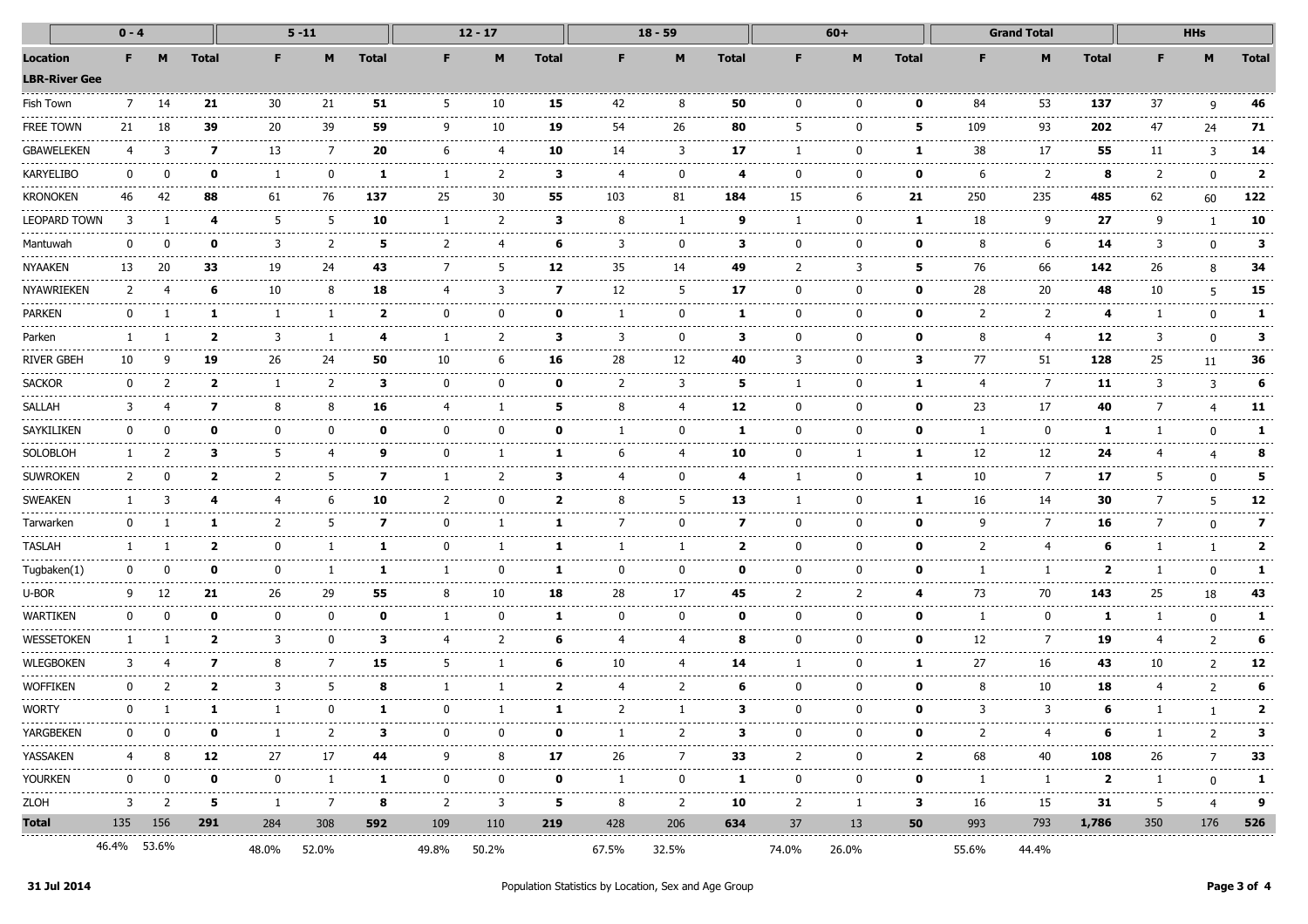| $0 - 4$                          |              |             |              |               | $5 - 11$       |                                          | $12 - 17$         |                      |              | $18 - 59$           |                                                                                                                                                                                                                                                                                                                                                                                                    |                              |                        | $60+$                            |                       | <b>Grand Total</b> |                                     |                   |              | <b>HHs</b> |                |  |
|----------------------------------|--------------|-------------|--------------|---------------|----------------|------------------------------------------|-------------------|----------------------|--------------|---------------------|----------------------------------------------------------------------------------------------------------------------------------------------------------------------------------------------------------------------------------------------------------------------------------------------------------------------------------------------------------------------------------------------------|------------------------------|------------------------|----------------------------------|-----------------------|--------------------|-------------------------------------|-------------------|--------------|------------|----------------|--|
| Location<br><b>LBR-River Gee</b> | F.           |             | <b>Total</b> | F             | м              | <b>Total</b>                             | F.                | M                    | <b>Total</b> |                     | M                                                                                                                                                                                                                                                                                                                                                                                                  | <b>Total</b>                 | F.                     | M                                | <b>Total</b>          |                    | M                                   | <b>Total</b>      | F            | M          | <b>Total</b>   |  |
| Fish Town                        | 7            | 14          | 21           | 30            | 21             | 51                                       | 5                 | 10                   | 15           | 42                  | 8                                                                                                                                                                                                                                                                                                                                                                                                  | 50                           | $\Omega$               | $\Omega$                         | 0                     | 84                 | 53                                  | 137               | 37           | q          | 46             |  |
| free town                        | 21           | 18          | 39           | 20            | ----<br>39     | -----<br>59                              | q                 | 10                   | -----<br>19  | $\frac{1}{2}$<br>54 | $\frac{1}{2} \frac{1}{2} \frac{1}{2} \frac{1}{2} \frac{1}{2} \frac{1}{2} \frac{1}{2} \frac{1}{2} \frac{1}{2} \frac{1}{2} \frac{1}{2} \frac{1}{2} \frac{1}{2} \frac{1}{2} \frac{1}{2} \frac{1}{2} \frac{1}{2} \frac{1}{2} \frac{1}{2} \frac{1}{2} \frac{1}{2} \frac{1}{2} \frac{1}{2} \frac{1}{2} \frac{1}{2} \frac{1}{2} \frac{1}{2} \frac{1}{2} \frac{1}{2} \frac{1}{2} \frac{1}{2} \frac{$<br>26 | 80                           | 5                      |                                  | 5                     | 109                | 93                                  | .<br>202          | 47           | 24         | 71             |  |
| <b>GBAWELEKEN</b>                |              | 3           | 7            | 13            | 7              | 20                                       | 6                 | 4                    | 10           | 14                  | 3                                                                                                                                                                                                                                                                                                                                                                                                  | 17                           |                        | $\Omega$                         |                       | 38                 | 17                                  | 55                | 11           | 3          | 14             |  |
| KARYELIBO                        |              |             | n            |               | n              | ı                                        |                   | 2                    | з            |                     | O                                                                                                                                                                                                                                                                                                                                                                                                  |                              | n                      |                                  | ŋ                     | 6                  | ------------------<br>$\mathcal{P}$ | .<br>8            |              | n          | $\overline{2}$ |  |
| kronoken                         | 46           | 42          | 88           | 61            | 76             | 137                                      | 25                | 30                   | 55           | 103                 | 81                                                                                                                                                                                                                                                                                                                                                                                                 | 184                          | 15                     | 6                                | 21                    | 250                | 235                                 | 485               | 62           | 60         | 122            |  |
| Leopard Town                     |              |             | 4            | 5             | 5              | 10                                       |                   | 2                    | з            | 8                   | -1                                                                                                                                                                                                                                                                                                                                                                                                 | 9                            |                        | $\Omega$                         | 1                     | 18                 | 9                                   | 27                | 9            |            | 10             |  |
| Mantuwah                         |              | n           | ŋ            | 3             | 2              | 5                                        | 2                 | 4                    | 6            | 3                   | $\Omega$                                                                                                                                                                                                                                                                                                                                                                                           | з                            | ŋ                      |                                  | 0                     | 8                  | 6                                   | 14                | 3            | O          | 3              |  |
| NYAAKEN                          | 13           | 20          | 33           | 19            | -----<br>24    | 43                                       |                   | 5                    | 12           | -----<br>35         | 14                                                                                                                                                                                                                                                                                                                                                                                                 | 49                           | 2                      |                                  |                       | ------<br>76       | 66                                  | .<br>142          | 26           |            | 34             |  |
| NYAWRIEKEN                       |              |             | 6            | 10            |                | 18                                       | 4                 |                      | 7            | 12                  | 5                                                                                                                                                                                                                                                                                                                                                                                                  | 17                           |                        |                                  | O                     | 28                 | 20                                  | 48                | 10           | 5          | 15             |  |
| PARKEN                           |              |             |              |               |                | 2                                        | $\Omega$          | 0                    | n            |                     | O                                                                                                                                                                                                                                                                                                                                                                                                  | л                            | O                      |                                  | 0                     | 2                  | 2                                   | 4                 |              | n          | 1              |  |
| Parken                           |              |             | 2            | 3             |                | 4                                        |                   | 2                    | з            | 3                   | $\Omega$                                                                                                                                                                                                                                                                                                                                                                                           | 3                            | ŋ                      | $\Omega$                         | n                     | 8                  | 4                                   | 12                | 3            | U          | 3              |  |
| <b>RIVER GBEH</b>                | 10           |             | 19           | 26            | 24             | 50                                       | 10                | 6                    | 16           | 28                  | 12                                                                                                                                                                                                                                                                                                                                                                                                 | 40                           | 3                      |                                  | з                     | 77                 | 51                                  | 128               | 25           | 11         | 36             |  |
| <b>SACKOR</b>                    | ŋ            |             | ,            |               | 2              | 3                                        | $\Omega$          | ŋ                    | Λ            | $\mathcal{P}$       | 3                                                                                                                                                                                                                                                                                                                                                                                                  |                              |                        |                                  |                       | 4                  | $\overline{7}$                      | 11                | 3            | 3          |                |  |
| SALLAH                           |              |             |              | 8             |                | 16                                       |                   |                      | 5            | 8                   |                                                                                                                                                                                                                                                                                                                                                                                                    | 12                           |                        |                                  | 0                     | 23                 | 17                                  | 40                |              |            | 11             |  |
| <b>SAYKILIKEN</b>                |              | n           | ŋ            | $\Omega$      | n              | ŋ                                        | n                 | O                    | Λ            |                     | ŋ                                                                                                                                                                                                                                                                                                                                                                                                  | -1                           | ŋ                      | $\Omega$                         | n                     |                    | $\Omega$                            | -1                |              |            |                |  |
| SOLOBLOH                         |              |             | 3            | 5             |                | 9                                        | $\Omega$          |                      |              | 6                   |                                                                                                                                                                                                                                                                                                                                                                                                    | 10                           | O                      |                                  |                       | 12                 | 12                                  | 24                |              |            |                |  |
| SUWROKEN                         |              |             | ,            | $\mathcal{P}$ | 5              | 7                                        |                   |                      | з            |                     | ŋ                                                                                                                                                                                                                                                                                                                                                                                                  |                              |                        |                                  |                       | 10                 | $\overline{7}$                      | 17                | 5            |            |                |  |
| <b>SWEAKEN</b>                   |              |             |              |               |                | 10                                       |                   | 0                    | 2            | 8                   |                                                                                                                                                                                                                                                                                                                                                                                                    | 13                           |                        |                                  |                       | 16                 | 14                                  | 30                |              |            | 12             |  |
| Tarwarker                        |              |             |              | $\mathcal{P}$ | 5              | 7                                        | n                 |                      |              |                     | <sup>0</sup>                                                                                                                                                                                                                                                                                                                                                                                       | 7                            | ŋ                      | $\Omega$                         | 0                     | q                  | 7                                   | 16                |              | n          | 7              |  |
| TASLAH                           |              |             | 2            | $\Omega$      |                | 1                                        | n                 |                      |              |                     |                                                                                                                                                                                                                                                                                                                                                                                                    | 2                            | ŋ                      | $\Omega$                         | 0                     | 2                  | 4                                   | -6                |              |            |                |  |
| Tugbaken(1                       |              | n           | n            | $\Omega$      |                | 1                                        |                   | 0                    |              | $\Omega$            | $\Omega$                                                                                                                                                                                                                                                                                                                                                                                           | n                            | n                      | $\Omega$                         | O                     |                    |                                     | $\overline{2}$    |              | n          |                |  |
| U-BOR                            |              |             | 21           | 26            | 29             | 55                                       | 8                 | 10                   | 18           | 28                  | 17                                                                                                                                                                                                                                                                                                                                                                                                 | 45                           |                        |                                  | 4                     | 73                 | 70                                  | 143               | 25           | 18         | 43             |  |
| WARTIKEN                         |              | n           | n            | $\Omega$      | $\mathbf{0}$   | 0                                        |                   | $\Omega$             | 1            | $\Omega$            | $\Omega$                                                                                                                                                                                                                                                                                                                                                                                           | n                            | ŋ                      | $\Omega$                         | 0                     |                    | $\Omega$                            | -1                |              | n          |                |  |
| WESSETOKEN                       |              |             | 2            | 3             | n              | з                                        |                   |                      | 6            |                     |                                                                                                                                                                                                                                                                                                                                                                                                    |                              | n                      |                                  | n                     | 12                 | 7                                   | 19                |              |            |                |  |
| WLEGBOKEN                        |              |             | 7            | 8             | 7              | 15                                       | 5                 |                      | 6            | 10                  | 4                                                                                                                                                                                                                                                                                                                                                                                                  | 14                           |                        | $\Omega$                         | -1                    | 27                 | 16                                  | 43                | 10           | 2          | 12             |  |
| WOFFIKEN                         |              |             | 2            | 3             | 5              | 8                                        |                   |                      | 2            | -4                  | 2                                                                                                                                                                                                                                                                                                                                                                                                  | -6                           | O                      | $\Omega$                         | 0                     | 8                  | 10                                  | 18                | 4            | 2          |                |  |
| WORTY                            | $\Omega$     |             | 1            | -1            | 0              | 1                                        | 0                 |                      | 1            | 2                   | 1                                                                                                                                                                                                                                                                                                                                                                                                  | 3                            | 0                      | $\Omega$<br>-------------------- | 0                     | 3                  | 3                                   | 6                 |              |            | 2              |  |
| -------------<br>YARGBEKEN       |              | $0\qquad 0$ | $\mathbf 0$  | $\mathbf{1}$  | $\overline{2}$ | -----------------------------------<br>3 | .<br>$\mathbf{0}$ | $\bf{0}$             | $\mathbf 0$  | $\overline{1}$      | $\overline{2}$                                                                                                                                                                                                                                                                                                                                                                                     | $\mathbf{3}$                 | $\mathbf{0}$           | $\mathbf 0$                      | $\mathbf 0$           | 2                  | $\overline{4}$                      | 6                 | $\mathbf{1}$ | 2          | 3              |  |
| YASSAKEN                         | 4            | 8           | 12           | 27            | 17             | 44                                       | 9                 | 8                    | 17           | 26                  | 7                                                                                                                                                                                                                                                                                                                                                                                                  | 33                           | 2                      | $\bf{0}$                         | $\mathbf{2}$          | 68                 | 40                                  | 108               | 26           | 7          | 33             |  |
| Yourken                          | $\mathbf{0}$ | $\mathbf 0$ | $\mathbf{0}$ | $^{\rm o}$    | 1              | $\mathbf{1}$                             | $^{\rm o}$        | $\bf{0}$<br>-------- | $\mathbf{0}$ | 1                   | $\mathbf{0}$<br>.                                                                                                                                                                                                                                                                                                                                                                                  | $\mathbf{1}$<br>------------ | $\mathbf{0}$<br>------ | $\mathbf 0$                      | $\mathbf{0}$<br>----- | 1<br>---------     | $\mathbf{1}$<br>.                   | $\mathbf{2}$<br>. | <sup>1</sup> | $\Omega$   | -1             |  |
| ZLOH                             | 3            | 2           | 5            | $\mathbf{1}$  | $\overline{7}$ | 8                                        | 2                 | 3                    | <br>5        | 8                   | $\overline{2}$                                                                                                                                                                                                                                                                                                                                                                                     | 10                           | $\overline{2}$         | 1                                | 3                     | 16                 | 15                                  | 31                | 5            | 4          | 9              |  |
| Total                            |              | 135 156     | 291          | 284           | 308            | 592                                      | 109               | 110                  | 219          | 428                 | 206                                                                                                                                                                                                                                                                                                                                                                                                | 634                          | 37                     | 13                               | 50                    | 993                | 793                                 | 1,786             | 350          | 176        | 526            |  |
|                                  |              | 46.4% 53.6% |              | 48.0%         | 52.0%          |                                          | 49.8%             | 50.2%                |              | 67.5%               | 32.5%                                                                                                                                                                                                                                                                                                                                                                                              |                              | 74.0%                  | 26.0%                            |                       | 55.6%              | 44.4%                               |                   |              |            |                |  |